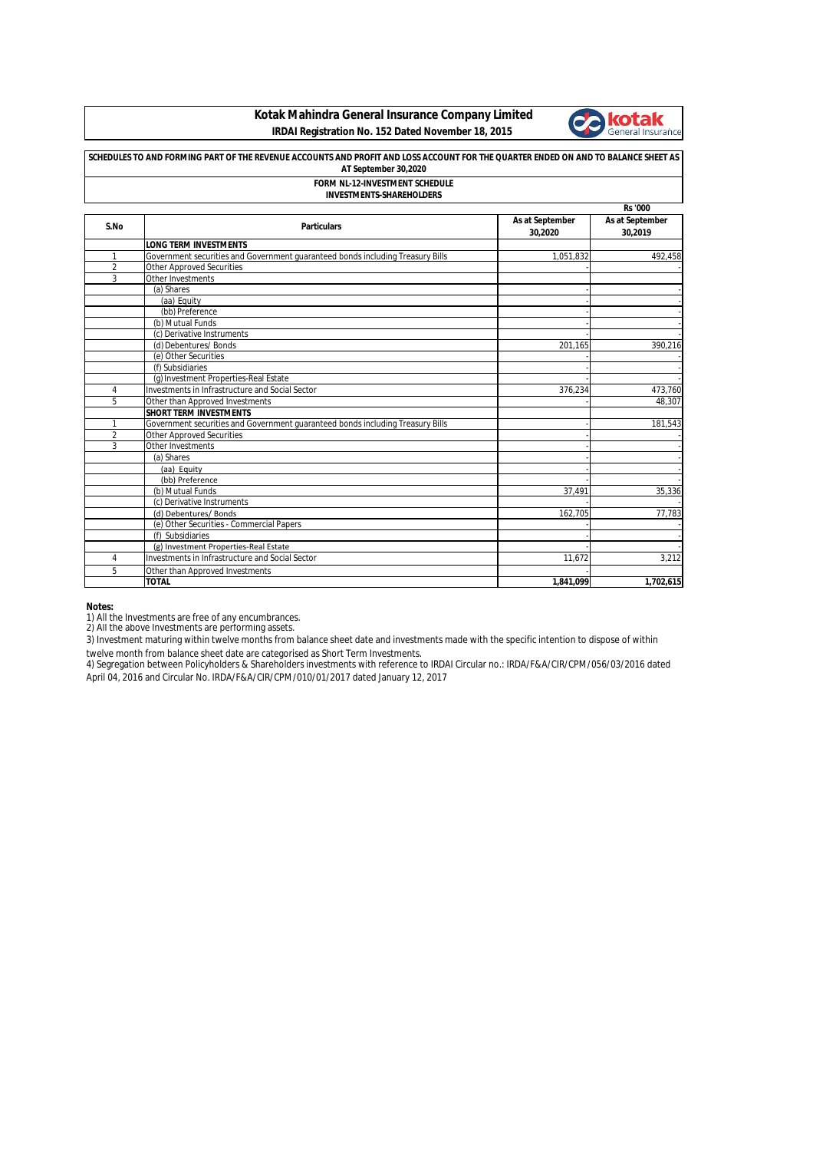**Kotak Mahindra General Insurance Company Limited IRDAI Registration No. 152 Dated November 18, 2015**



## **SCHEDULES TO AND FORMING PART OF THE REVENUE ACCOUNTS AND PROFIT AND LOSS ACCOUNT FOR THE QUARTER ENDED ON AND TO BALANCE SHEET AS AT September 30,2020 FORM NL-12-INVESTMENT SCHEDULE**

## **INVESTMENTS-SHAREHOLDERS**

|                |                                                                                |                            | <b>Rs</b> '000             |
|----------------|--------------------------------------------------------------------------------|----------------------------|----------------------------|
| S.No           | <b>Particulars</b>                                                             | As at September<br>30,2020 | As at September<br>30,2019 |
|                | <b>LONG TERM INVESTMENTS</b>                                                   |                            |                            |
| 1              | Government securities and Government guaranteed bonds including Treasury Bills | 1,051,832                  | 492,458                    |
| $\overline{2}$ | <b>Other Approved Securities</b>                                               |                            |                            |
| 3              | Other Investments                                                              |                            |                            |
|                | (a) Shares                                                                     |                            |                            |
|                | (aa) Equity                                                                    |                            |                            |
|                | (bb) Preference                                                                |                            |                            |
|                | (b) Mutual Funds                                                               |                            |                            |
|                | (c) Derivative Instruments                                                     |                            |                            |
|                | (d) Debentures/ Bonds                                                          | 201,165                    | 390,216                    |
|                | (e) Other Securities                                                           |                            |                            |
|                | (f) Subsidiaries                                                               |                            |                            |
|                | (g) Investment Properties-Real Estate                                          |                            |                            |
| 4              | Investments in Infrastructure and Social Sector                                | 376,234                    | 473,760                    |
| 5              | Other than Approved Investments                                                |                            | 48.307                     |
|                | <b>SHORT TERM INVESTMENTS</b>                                                  |                            |                            |
| 1              | Government securities and Government quaranteed bonds including Treasury Bills |                            | 181.543                    |
| $\overline{2}$ | <b>Other Approved Securities</b>                                               |                            |                            |
| 3              | Other Investments                                                              |                            |                            |
|                | (a) Shares                                                                     |                            |                            |
|                | (aa) Equity                                                                    |                            |                            |
|                | (bb) Preference                                                                |                            |                            |
|                | (b) Mutual Funds                                                               | 37,491                     | 35,336                     |
|                | (c) Derivative Instruments                                                     |                            |                            |
|                | (d) Debentures/ Bonds                                                          | 162,705                    | 77,783                     |
|                | (e) Other Securities - Commercial Papers                                       |                            |                            |
|                | (f) Subsidiaries                                                               |                            |                            |
|                | (g) Investment Properties-Real Estate                                          |                            |                            |
| $\overline{4}$ | Investments in Infrastructure and Social Sector                                | 11.672                     | 3,212                      |
| 5              | Other than Approved Investments                                                |                            |                            |
|                | <b>TOTAL</b>                                                                   | 1,841,099                  | 1,702,615                  |

## **Notes:**

1) All the Investments are free of any encumbrances.<br>2) All the above Investments are performing assets.

3) Investment maturing within twelve months from balance sheet date and investments made with the specific intention to dispose of within twelve month from balance sheet date are categorised as Short Term Investments.

4) Segregation between Policyholders & Shareholders investments with reference to IRDAI Circular no.: IRDA/F&A/CIR/CPM/056/03/2016 dated April 04, 2016 and Circular No. IRDA/F&A/CIR/CPM/010/01/2017 dated January 12, 2017